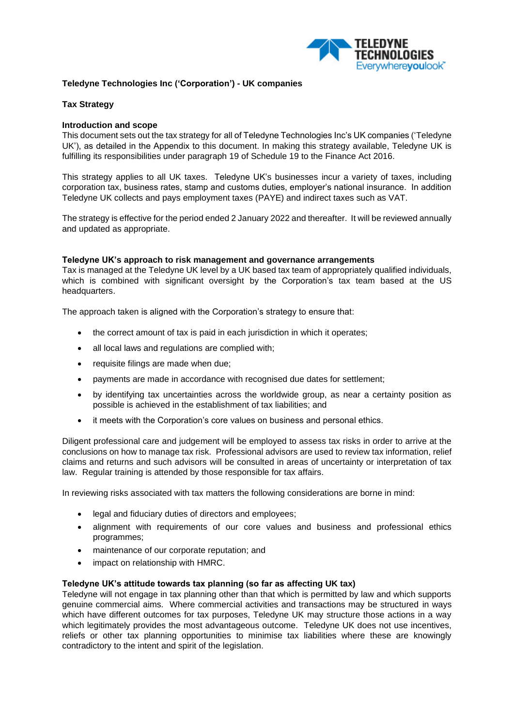

## **Teledyne Technologies Inc ('Corporation') - UK companies**

#### **Tax Strategy**

#### **Introduction and scope**

This document sets out the tax strategy for all of Teledyne Technologies Inc's UK companies ('Teledyne UK'), as detailed in the Appendix to this document. In making this strategy available, Teledyne UK is fulfilling its responsibilities under paragraph 19 of Schedule 19 to the Finance Act 2016.

This strategy applies to all UK taxes. Teledyne UK's businesses incur a variety of taxes, including corporation tax, business rates, stamp and customs duties, employer's national insurance. In addition Teledyne UK collects and pays employment taxes (PAYE) and indirect taxes such as VAT.

The strategy is effective for the period ended 2 January 2022 and thereafter. It will be reviewed annually and updated as appropriate.

#### **Teledyne UK's approach to risk management and governance arrangements**

Tax is managed at the Teledyne UK level by a UK based tax team of appropriately qualified individuals, which is combined with significant oversight by the Corporation's tax team based at the US headquarters.

The approach taken is aligned with the Corporation's strategy to ensure that:

- the correct amount of tax is paid in each jurisdiction in which it operates;
- all local laws and regulations are complied with;
- requisite filings are made when due;
- payments are made in accordance with recognised due dates for settlement;
- by identifying tax uncertainties across the worldwide group, as near a certainty position as possible is achieved in the establishment of tax liabilities; and
- it meets with the Corporation's core values on business and personal ethics.

Diligent professional care and judgement will be employed to assess tax risks in order to arrive at the conclusions on how to manage tax risk. Professional advisors are used to review tax information, relief claims and returns and such advisors will be consulted in areas of uncertainty or interpretation of tax law. Regular training is attended by those responsible for tax affairs.

In reviewing risks associated with tax matters the following considerations are borne in mind:

- legal and fiduciary duties of directors and employees;
- alignment with requirements of our core values and business and professional ethics programmes;
- maintenance of our corporate reputation; and
- impact on relationship with HMRC.

#### **Teledyne UK's attitude towards tax planning (so far as affecting UK tax)**

Teledyne will not engage in tax planning other than that which is permitted by law and which supports genuine commercial aims. Where commercial activities and transactions may be structured in ways which have different outcomes for tax purposes, Teledyne UK may structure those actions in a way which legitimately provides the most advantageous outcome. Teledyne UK does not use incentives, reliefs or other tax planning opportunities to minimise tax liabilities where these are knowingly contradictory to the intent and spirit of the legislation.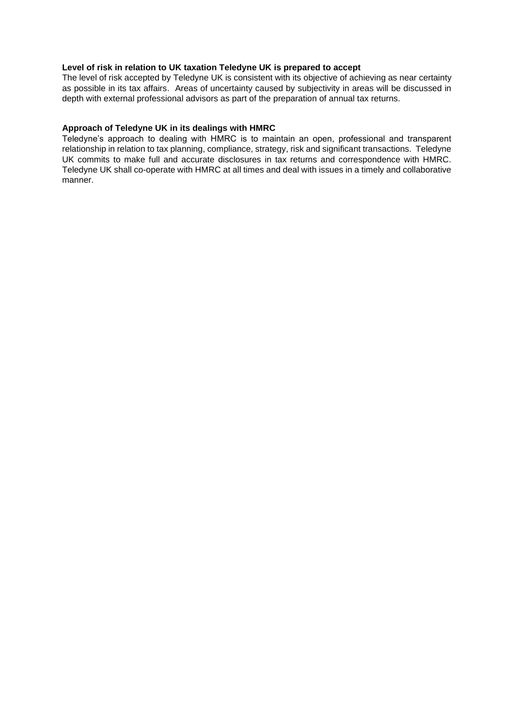# **Level of risk in relation to UK taxation Teledyne UK is prepared to accept**

The level of risk accepted by Teledyne UK is consistent with its objective of achieving as near certainty as possible in its tax affairs. Areas of uncertainty caused by subjectivity in areas will be discussed in depth with external professional advisors as part of the preparation of annual tax returns.

## **Approach of Teledyne UK in its dealings with HMRC**

Teledyne's approach to dealing with HMRC is to maintain an open, professional and transparent relationship in relation to tax planning, compliance, strategy, risk and significant transactions. Teledyne UK commits to make full and accurate disclosures in tax returns and correspondence with HMRC. Teledyne UK shall co-operate with HMRC at all times and deal with issues in a timely and collaborative manner.